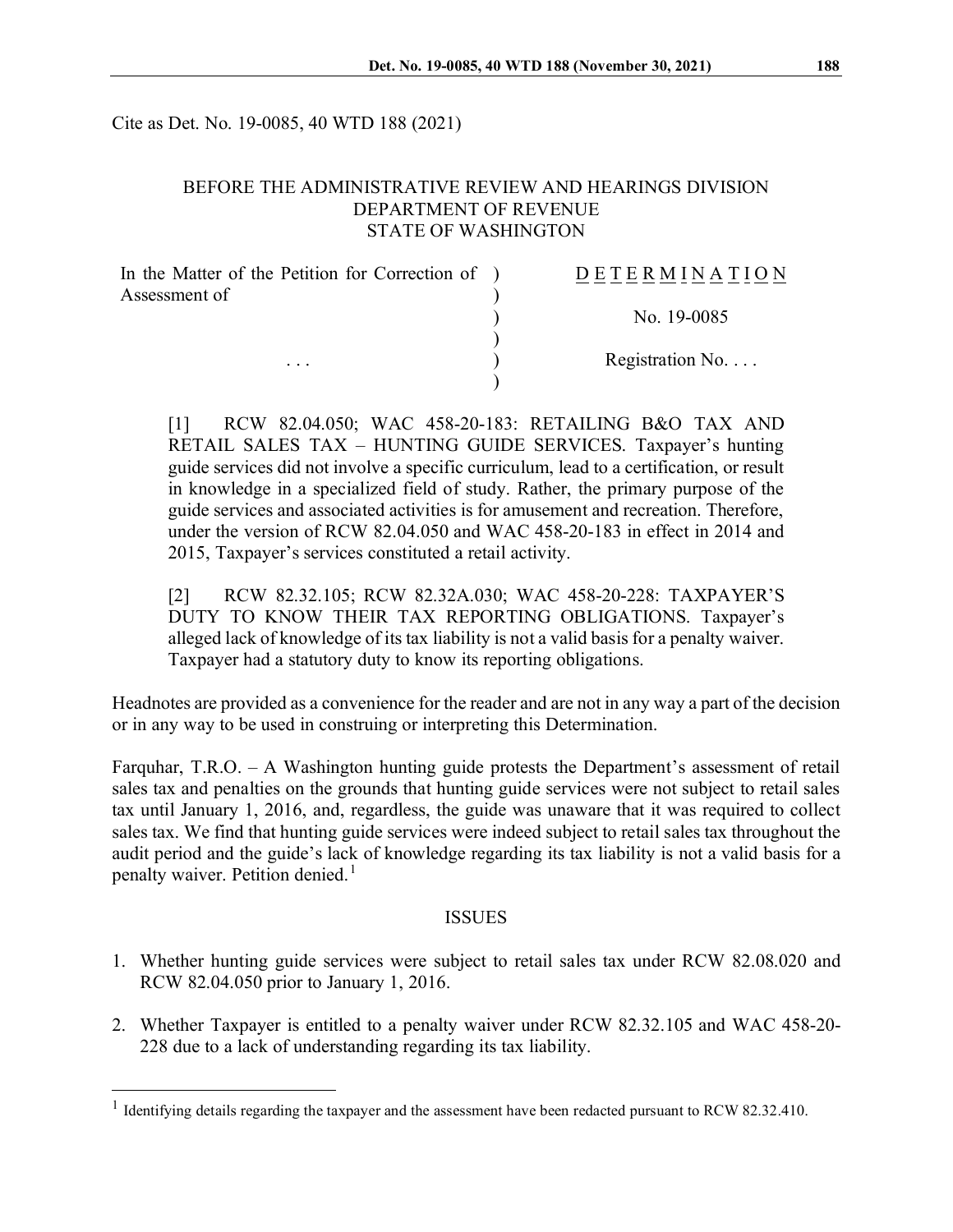Cite as Det. No. 19-0085, 40 WTD 188 (2021)

#### BEFORE THE ADMINISTRATIVE REVIEW AND HEARINGS DIVISION DEPARTMENT OF REVENUE STATE OF WASHINGTON

| In the Matter of the Petition for Correction of ) | DETERMINATION            |
|---------------------------------------------------|--------------------------|
| Assessment of                                     |                          |
|                                                   | No. 19-0085              |
|                                                   |                          |
| $\cdots$                                          | Registration No. $\dots$ |
|                                                   |                          |

[1] RCW 82.04.050; WAC 458-20-183: RETAILING B&O TAX AND RETAIL SALES TAX – HUNTING GUIDE SERVICES. Taxpayer's hunting guide services did not involve a specific curriculum, lead to a certification, or result in knowledge in a specialized field of study. Rather, the primary purpose of the guide services and associated activities is for amusement and recreation. Therefore, under the version of RCW 82.04.050 and WAC 458-20-183 in effect in 2014 and 2015, Taxpayer's services constituted a retail activity.

[2] RCW 82.32.105; RCW 82.32A.030; WAC 458-20-228: TAXPAYER'S DUTY TO KNOW THEIR TAX REPORTING OBLIGATIONS. Taxpayer's alleged lack of knowledge of its tax liability is not a valid basis for a penalty waiver. Taxpayer had a statutory duty to know its reporting obligations.

Headnotes are provided as a convenience for the reader and are not in any way a part of the decision or in any way to be used in construing or interpreting this Determination.

Farquhar, T.R.O. – A Washington hunting guide protests the Department's assessment of retail sales tax and penalties on the grounds that hunting guide services were not subject to retail sales tax until January 1, 2016, and, regardless, the guide was unaware that it was required to collect sales tax. We find that hunting guide services were indeed subject to retail sales tax throughout the audit period and the guide's lack of knowledge regarding its tax liability is not a valid basis for a penalty waiver. Petition denied.<sup>[1](#page-0-0)</sup>

#### ISSUES

- 1. Whether hunting guide services were subject to retail sales tax under RCW 82.08.020 and RCW 82.04.050 prior to January 1, 2016.
- 2. Whether Taxpayer is entitled to a penalty waiver under RCW 82.32.105 and WAC 458-20- 228 due to a lack of understanding regarding its tax liability.

<span id="page-0-0"></span><sup>&</sup>lt;sup>1</sup> Identifying details regarding the taxpayer and the assessment have been redacted pursuant to RCW 82.32.410.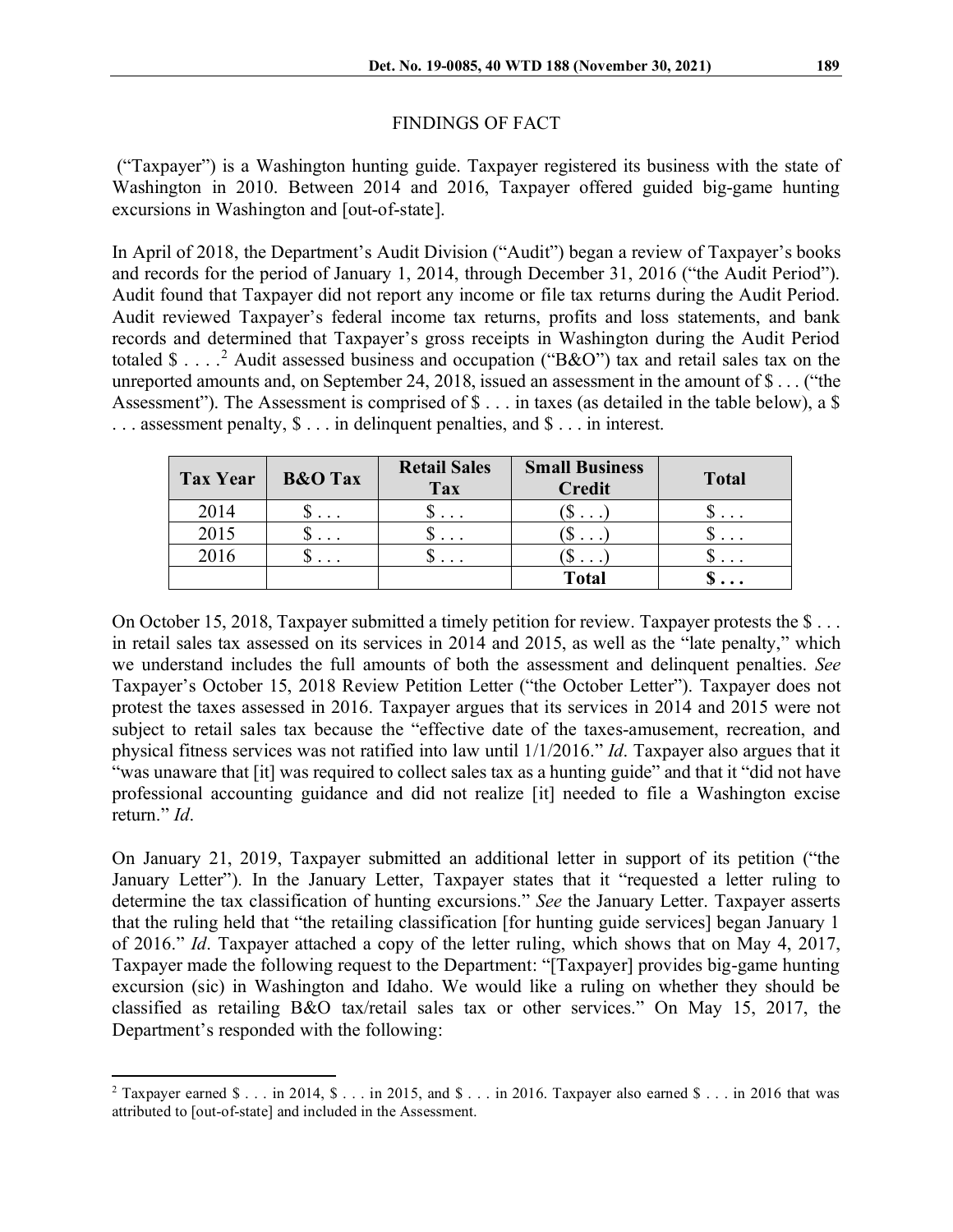### FINDINGS OF FACT

("Taxpayer") is a Washington hunting guide. Taxpayer registered its business with the state of Washington in 2010. Between 2014 and 2016, Taxpayer offered guided big-game hunting excursions in Washington and [out-of-state].

In April of 2018, the Department's Audit Division ("Audit") began a review of Taxpayer's books and records for the period of January 1, 2014, through December 31, 2016 ("the Audit Period"). Audit found that Taxpayer did not report any income or file tax returns during the Audit Period. Audit reviewed Taxpayer's federal income tax returns, profits and loss statements, and bank records and determined that Taxpayer's gross receipts in Washington during the Audit Period totaled \$ . . . .<sup>[2](#page-1-0)</sup> Audit assessed business and occupation ("B&O") tax and retail sales tax on the unreported amounts and, on September 24, 2018, issued an assessment in the amount of \$ . . . ("the Assessment"). The Assessment is comprised of \$... in taxes (as detailed in the table below), a \$ . . . assessment penalty, \$ . . . in delinquent penalties, and \$ . . . in interest.

| <b>Tax Year</b> | <b>B&amp;O</b> Tax      | <b>Retail Sales</b><br><b>Tax</b> | <b>Small Business</b><br><b>Credit</b> | <b>Total</b>            |
|-----------------|-------------------------|-----------------------------------|----------------------------------------|-------------------------|
| 2014            | $\ddotsc$               | $\cdot$ $\cdot$ $\cdot$           | D<br>$\cdot$ $\cdot$ $\cdot$           | $\cdot$ $\cdot$ $\cdot$ |
| 2015            | $\cdot$ $\cdot$ $\cdot$ |                                   | D                                      | .                       |
| 2016            | $\cdot$ $\cdot$ $\cdot$ | $\cdot$ $\cdot$ $\cdot$           |                                        | .                       |
|                 |                         |                                   | <b>Total</b>                           |                         |

On October 15, 2018, Taxpayer submitted a timely petition for review. Taxpayer protests the \$... in retail sales tax assessed on its services in 2014 and 2015, as well as the "late penalty," which we understand includes the full amounts of both the assessment and delinquent penalties. *See* Taxpayer's October 15, 2018 Review Petition Letter ("the October Letter"). Taxpayer does not protest the taxes assessed in 2016. Taxpayer argues that its services in 2014 and 2015 were not subject to retail sales tax because the "effective date of the taxes-amusement, recreation, and physical fitness services was not ratified into law until 1/1/2016." *Id*. Taxpayer also argues that it "was unaware that [it] was required to collect sales tax as a hunting guide" and that it "did not have professional accounting guidance and did not realize [it] needed to file a Washington excise return." *Id*.

On January 21, 2019, Taxpayer submitted an additional letter in support of its petition ("the January Letter"). In the January Letter, Taxpayer states that it "requested a letter ruling to determine the tax classification of hunting excursions." *See* the January Letter. Taxpayer asserts that the ruling held that "the retailing classification [for hunting guide services] began January 1 of 2016." *Id*. Taxpayer attached a copy of the letter ruling, which shows that on May 4, 2017, Taxpayer made the following request to the Department: "[Taxpayer] provides big-game hunting excursion (sic) in Washington and Idaho. We would like a ruling on whether they should be classified as retailing B&O tax/retail sales tax or other services." On May 15, 2017, the Department's responded with the following:

<span id="page-1-0"></span><sup>&</sup>lt;sup>2</sup> Taxpayer earned \$ . . . in 2014, \$ . . . in 2015, and \$ . . . in 2016. Taxpayer also earned \$ . . . in 2016 that was attributed to [out-of-state] and included in the Assessment.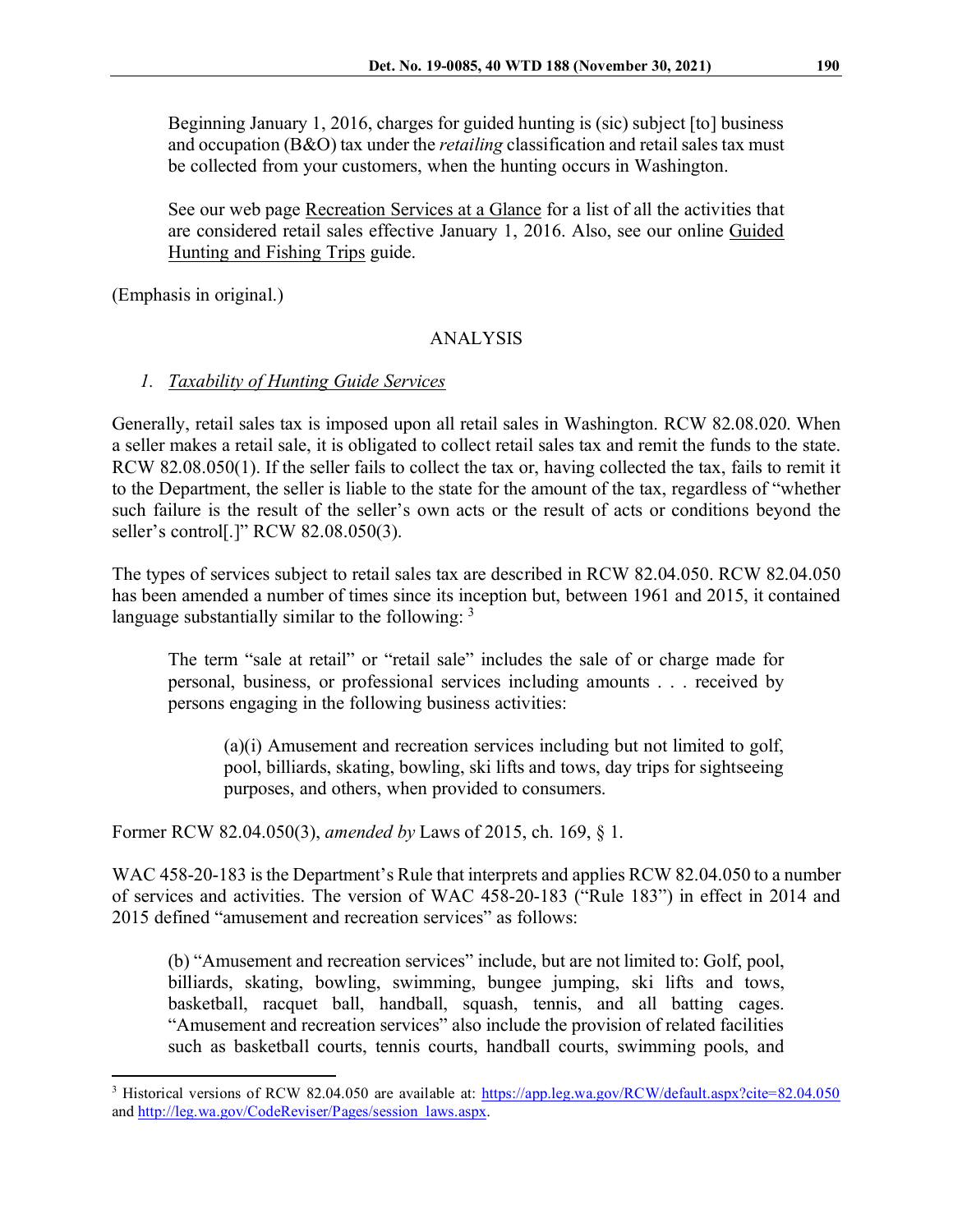Beginning January 1, 2016, charges for guided hunting is (sic) subject [to] business and occupation (B&O) tax under the *retailing* classification and retail sales tax must be collected from your customers, when the hunting occurs in Washington.

See our web page Recreation Services at a Glance for a list of all the activities that are considered retail sales effective January 1, 2016. Also, see our online Guided Hunting and Fishing Trips guide.

(Emphasis in original.)

## ANALYSIS

### *1. Taxability of Hunting Guide Services*

Generally, retail sales tax is imposed upon all retail sales in Washington. RCW 82.08.020. When a seller makes a retail sale, it is obligated to collect retail sales tax and remit the funds to the state. RCW 82.08.050(1). If the seller fails to collect the tax or, having collected the tax, fails to remit it to the Department, the seller is liable to the state for the amount of the tax, regardless of "whether such failure is the result of the seller's own acts or the result of acts or conditions beyond the seller's control[.]" RCW 82.08.050(3).

The types of services subject to retail sales tax are described in RCW 82.04.050. RCW 82.04.050 has been amended a number of times since its inception but, between 1961 and 2015, it contained language substantially similar to the following:  $3$ 

The term "sale at retail" or "retail sale" includes the sale of or charge made for personal, business, or professional services including amounts . . . received by persons engaging in the following business activities:

(a)(i) Amusement and recreation services including but not limited to golf, pool, billiards, skating, bowling, ski lifts and tows, day trips for sightseeing purposes, and others, when provided to consumers.

Former RCW 82.04.050(3), *amended by* Laws of 2015, ch. 169, § 1.

WAC 458-20-183 is the Department's Rule that interprets and applies RCW 82.04.050 to a number of services and activities. The version of WAC 458-20-183 ("Rule 183") in effect in 2014 and 2015 defined "amusement and recreation services" as follows:

(b) "Amusement and recreation services" include, but are not limited to: Golf, pool, billiards, skating, bowling, swimming, bungee jumping, ski lifts and tows, basketball, racquet ball, handball, squash, tennis, and all batting cages. "Amusement and recreation services" also include the provision of related facilities such as basketball courts, tennis courts, handball courts, swimming pools, and

<span id="page-2-0"></span><sup>&</sup>lt;sup>3</sup> Historical versions of RCW 82.04.050 are available at: https://app.leg.wa.gov/RCW/default.aspx?cite=82.04.050 and http://leg.wa.gov/CodeReviser/Pages/session\_laws.aspx.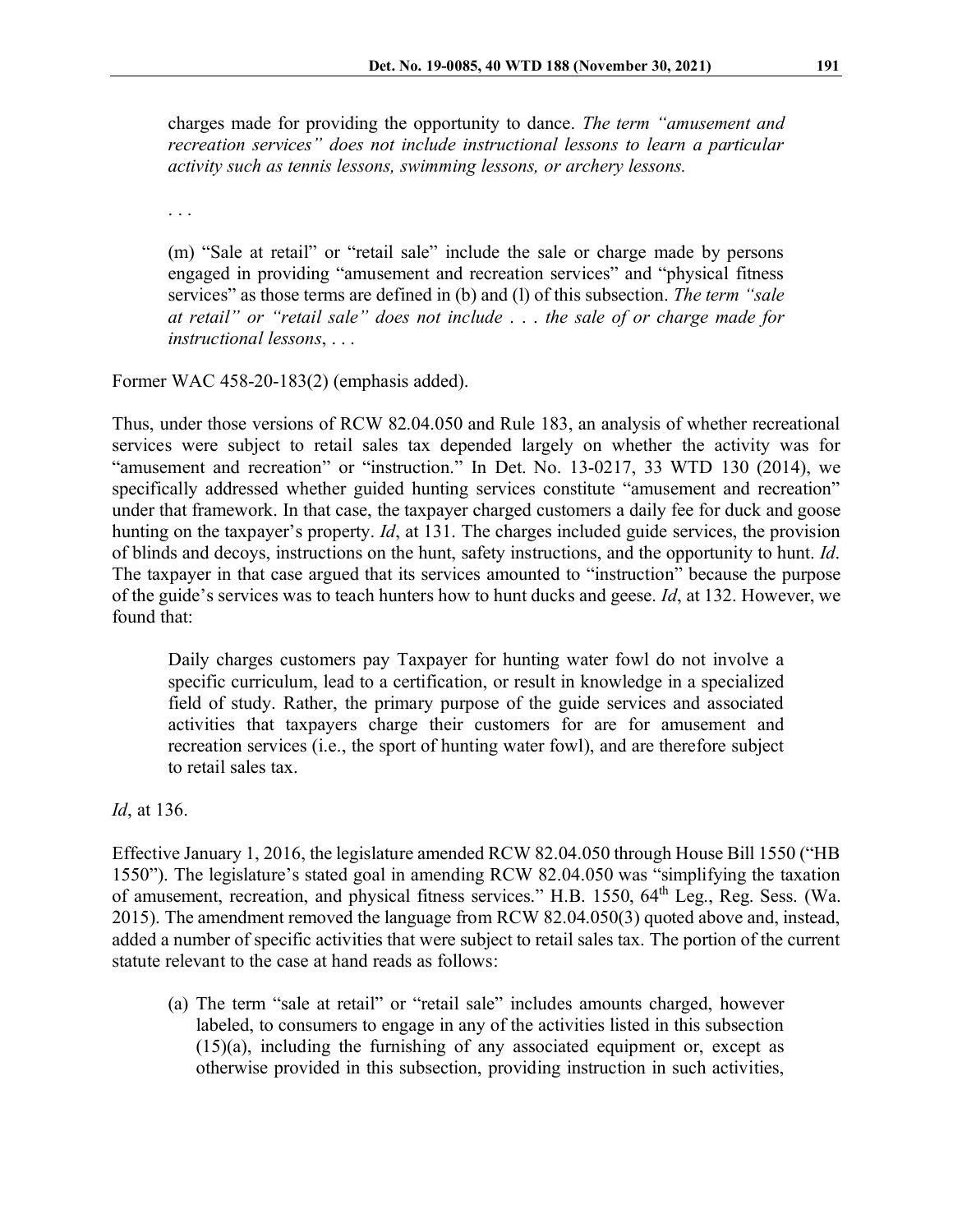charges made for providing the opportunity to dance. *The term "amusement and recreation services" does not include instructional lessons to learn a particular activity such as tennis lessons, swimming lessons, or archery lessons.*

. . .

(m) "Sale at retail" or "retail sale" include the sale or charge made by persons engaged in providing "amusement and recreation services" and "physical fitness services" as those terms are defined in (b) and (l) of this subsection. *The term "sale at retail" or "retail sale" does not include* . . . *the sale of or charge made for instructional lessons*, . . .

#### Former WAC 458-20-183(2) (emphasis added).

Thus, under those versions of RCW 82.04.050 and Rule 183, an analysis of whether recreational services were subject to retail sales tax depended largely on whether the activity was for "amusement and recreation" or "instruction." In Det. No. 13-0217, 33 WTD 130 (2014), we specifically addressed whether guided hunting services constitute "amusement and recreation" under that framework. In that case, the taxpayer charged customers a daily fee for duck and goose hunting on the taxpayer's property. *Id*, at 131. The charges included guide services, the provision of blinds and decoys, instructions on the hunt, safety instructions, and the opportunity to hunt. *Id*. The taxpayer in that case argued that its services amounted to "instruction" because the purpose of the guide's services was to teach hunters how to hunt ducks and geese. *Id*, at 132. However, we found that:

Daily charges customers pay Taxpayer for hunting water fowl do not involve a specific curriculum, lead to a certification, or result in knowledge in a specialized field of study. Rather, the primary purpose of the guide services and associated activities that taxpayers charge their customers for are for amusement and recreation services (i.e., the sport of hunting water fowl), and are therefore subject to retail sales tax.

*Id*, at 136.

Effective January 1, 2016, the legislature amended RCW 82.04.050 through House Bill 1550 ("HB 1550"). The legislature's stated goal in amending RCW 82.04.050 was "simplifying the taxation of amusement, recreation, and physical fitness services." H.B. 1550, 64<sup>th</sup> Leg., Reg. Sess. (Wa. 2015). The amendment removed the language from RCW 82.04.050(3) quoted above and, instead, added a number of specific activities that were subject to retail sales tax. The portion of the current statute relevant to the case at hand reads as follows:

(a) The term "sale at retail" or "retail sale" includes amounts charged, however labeled, to consumers to engage in any of the activities listed in this subsection (15)(a), including the furnishing of any associated equipment or, except as otherwise provided in this subsection, providing instruction in such activities,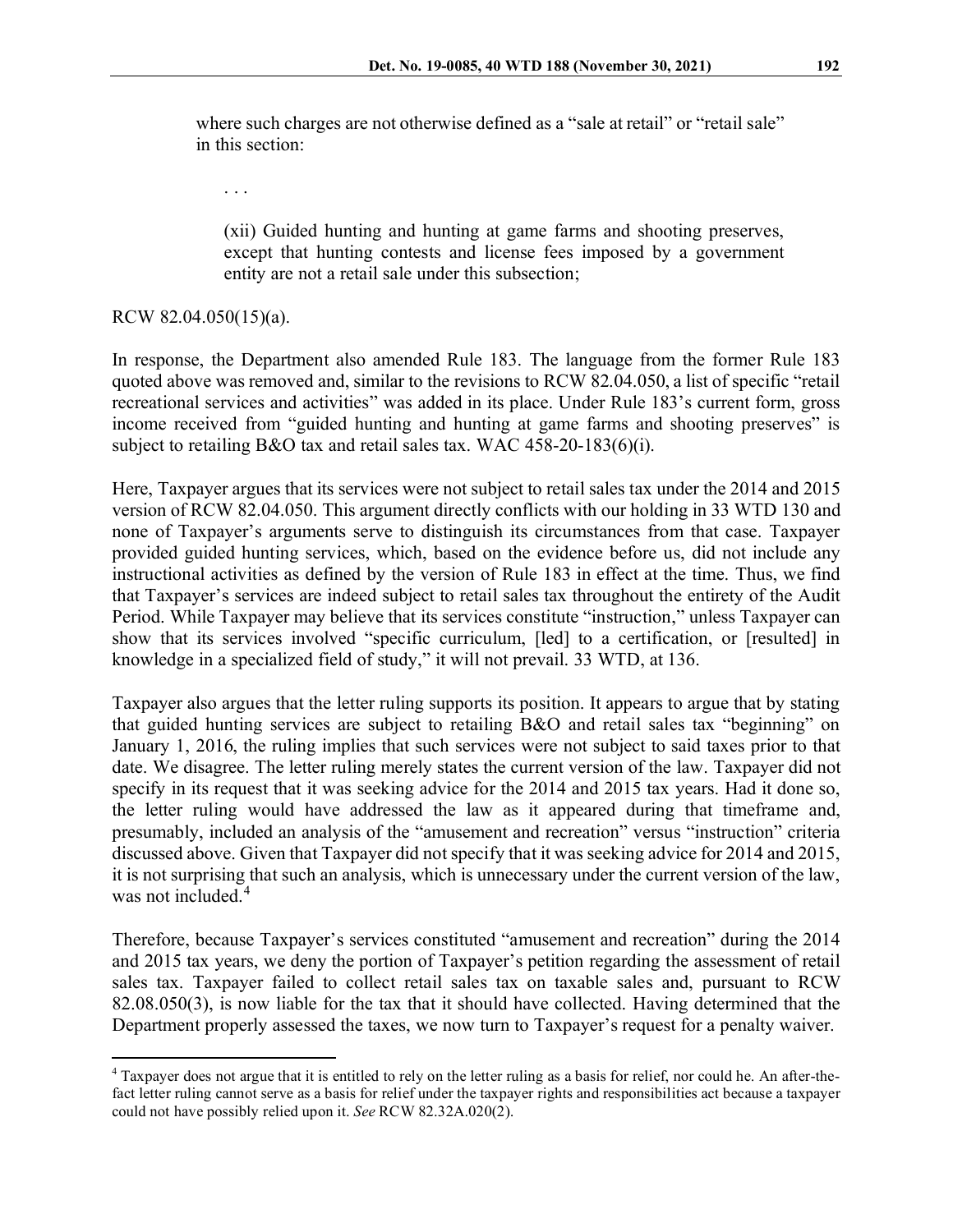where such charges are not otherwise defined as a "sale at retail" or "retail sale" in this section:

. . .

(xii) Guided hunting and hunting at game farms and shooting preserves, except that hunting contests and license fees imposed by a government entity are not a retail sale under this subsection;

#### RCW 82.04.050(15)(a).

In response, the Department also amended Rule 183. The language from the former Rule 183 quoted above was removed and, similar to the revisions to RCW 82.04.050, a list of specific "retail recreational services and activities" was added in its place. Under Rule 183's current form, gross income received from "guided hunting and hunting at game farms and shooting preserves" is subject to retailing B&O tax and retail sales tax. WAC 458-20-183(6)(i).

Here, Taxpayer argues that its services were not subject to retail sales tax under the 2014 and 2015 version of RCW 82.04.050. This argument directly conflicts with our holding in 33 WTD 130 and none of Taxpayer's arguments serve to distinguish its circumstances from that case. Taxpayer provided guided hunting services, which, based on the evidence before us, did not include any instructional activities as defined by the version of Rule 183 in effect at the time. Thus, we find that Taxpayer's services are indeed subject to retail sales tax throughout the entirety of the Audit Period. While Taxpayer may believe that its services constitute "instruction," unless Taxpayer can show that its services involved "specific curriculum, [led] to a certification, or [resulted] in knowledge in a specialized field of study," it will not prevail. 33 WTD, at 136.

Taxpayer also argues that the letter ruling supports its position. It appears to argue that by stating that guided hunting services are subject to retailing B&O and retail sales tax "beginning" on January 1, 2016, the ruling implies that such services were not subject to said taxes prior to that date. We disagree. The letter ruling merely states the current version of the law. Taxpayer did not specify in its request that it was seeking advice for the 2014 and 2015 tax years. Had it done so, the letter ruling would have addressed the law as it appeared during that timeframe and, presumably, included an analysis of the "amusement and recreation" versus "instruction" criteria discussed above. Given that Taxpayer did not specify that it was seeking advice for 2014 and 2015, it is not surprising that such an analysis, which is unnecessary under the current version of the law, was not included.<sup>[4](#page-4-0)</sup>

Therefore, because Taxpayer's services constituted "amusement and recreation" during the 2014 and 2015 tax years, we deny the portion of Taxpayer's petition regarding the assessment of retail sales tax. Taxpayer failed to collect retail sales tax on taxable sales and, pursuant to RCW 82.08.050(3), is now liable for the tax that it should have collected. Having determined that the Department properly assessed the taxes, we now turn to Taxpayer's request for a penalty waiver.

<span id="page-4-0"></span><sup>&</sup>lt;sup>4</sup> Taxpayer does not argue that it is entitled to rely on the letter ruling as a basis for relief, nor could he. An after-thefact letter ruling cannot serve as a basis for relief under the taxpayer rights and responsibilities act because a taxpayer could not have possibly relied upon it. *See* RCW 82.32A.020(2).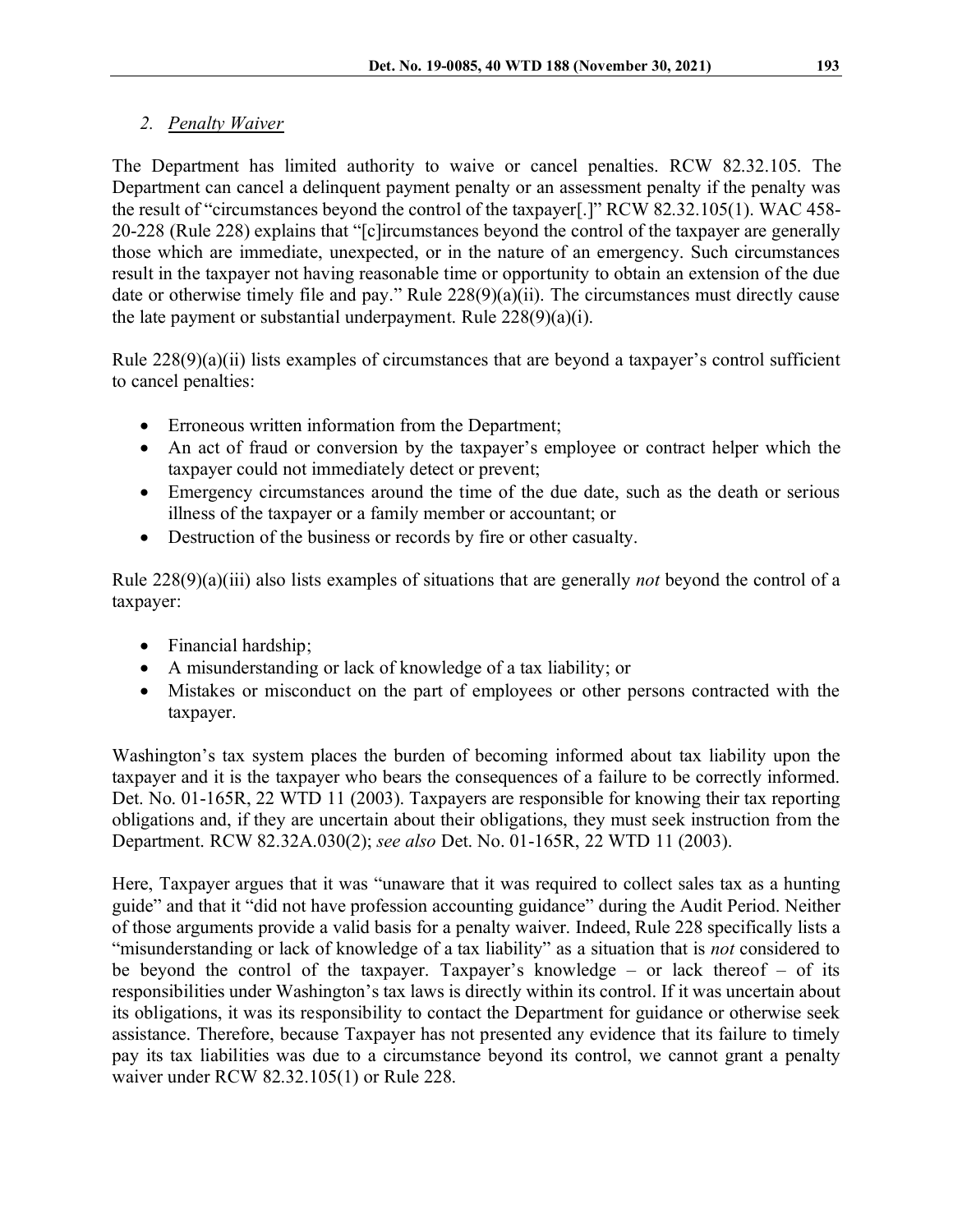### *2. Penalty Waiver*

The Department has limited authority to waive or cancel penalties. RCW 82.32.105. The Department can cancel a delinquent payment penalty or an assessment penalty if the penalty was the result of "circumstances beyond the control of the taxpayer[.]" RCW 82.32.105(1). WAC 458- 20-228 (Rule 228) explains that "[c]ircumstances beyond the control of the taxpayer are generally those which are immediate, unexpected, or in the nature of an emergency. Such circumstances result in the taxpayer not having reasonable time or opportunity to obtain an extension of the due date or otherwise timely file and pay." Rule 228(9)(a)(ii). The circumstances must directly cause the late payment or substantial underpayment. Rule 228(9)(a)(i).

Rule 228(9)(a)(ii) lists examples of circumstances that are beyond a taxpayer's control sufficient to cancel penalties:

- Erroneous written information from the Department;
- An act of fraud or conversion by the taxpayer's employee or contract helper which the taxpayer could not immediately detect or prevent;
- Emergency circumstances around the time of the due date, such as the death or serious illness of the taxpayer or a family member or accountant; or
- Destruction of the business or records by fire or other casualty.

Rule 228(9)(a)(iii) also lists examples of situations that are generally *not* beyond the control of a taxpayer:

- Financial hardship;
- A misunderstanding or lack of knowledge of a tax liability; or
- Mistakes or misconduct on the part of employees or other persons contracted with the taxpayer.

Washington's tax system places the burden of becoming informed about tax liability upon the taxpayer and it is the taxpayer who bears the consequences of a failure to be correctly informed. Det. No. 01-165R, 22 WTD 11 (2003). Taxpayers are responsible for knowing their tax reporting obligations and, if they are uncertain about their obligations, they must seek instruction from the Department. RCW 82.32A.030(2); *see also* Det. No. 01-165R, 22 WTD 11 (2003).

Here, Taxpayer argues that it was "unaware that it was required to collect sales tax as a hunting guide" and that it "did not have profession accounting guidance" during the Audit Period. Neither of those arguments provide a valid basis for a penalty waiver. Indeed, Rule 228 specifically lists a "misunderstanding or lack of knowledge of a tax liability" as a situation that is *not* considered to be beyond the control of the taxpayer. Taxpayer's knowledge – or lack thereof – of its responsibilities under Washington's tax laws is directly within its control. If it was uncertain about its obligations, it was its responsibility to contact the Department for guidance or otherwise seek assistance. Therefore, because Taxpayer has not presented any evidence that its failure to timely pay its tax liabilities was due to a circumstance beyond its control, we cannot grant a penalty waiver under RCW 82.32.105(1) or Rule 228.